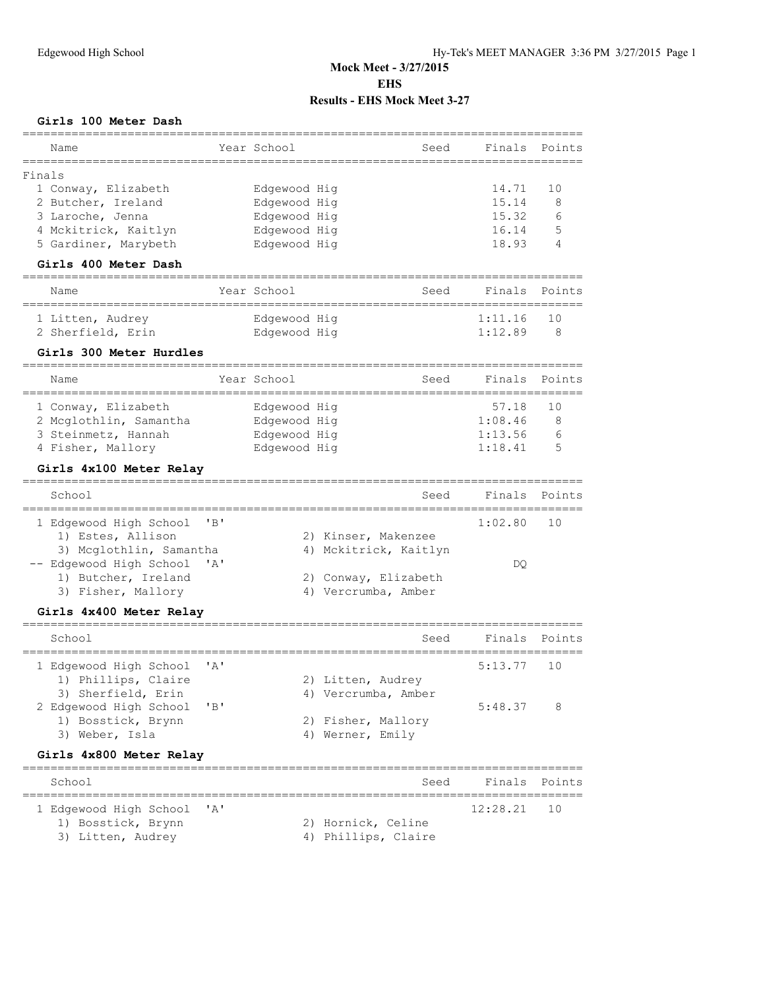### **Girls 100 Meter Dash**

| Name                                                  |      | Year School  |                       | Finals<br>Seed                                        | Points |
|-------------------------------------------------------|------|--------------|-----------------------|-------------------------------------------------------|--------|
| Finals                                                |      |              |                       |                                                       |        |
| 1 Conway, Elizabeth                                   |      | Edgewood Hig |                       | 14.71                                                 | 10     |
| 2 Butcher, Ireland                                    |      | Edgewood Hig |                       | 15.14                                                 | 8      |
| 3 Laroche, Jenna                                      |      |              |                       | 15.32                                                 |        |
|                                                       |      | Edgewood Hig |                       | 16.14                                                 | 6<br>5 |
| 4 Mckitrick, Kaitlyn                                  |      | Edgewood Hig |                       |                                                       | 4      |
| 5 Gardiner, Marybeth                                  |      | Edgewood Hig |                       | 18.93                                                 |        |
| Girls 400 Meter Dash<br>======================        |      |              |                       |                                                       |        |
| Name                                                  |      | Year School  |                       | Finals<br>Seed                                        | Points |
| 1 Litten, Audrey                                      |      | Edgewood Hig |                       | 1:11.16                                               | 10     |
| 2 Sherfield, Erin                                     |      | Edgewood Hig |                       | 1:12.89                                               | 8      |
| Girls 300 Meter Hurdles                               |      |              |                       |                                                       |        |
| ============================<br>Name                  |      | Year School  |                       | Finals<br>Seed                                        | Points |
| 1 Conway, Elizabeth                                   |      | Edgewood Hig |                       | 57.18                                                 | 10     |
| 2 Mcglothlin, Samantha                                |      | Edgewood Hig |                       | 1:08.46                                               | 8      |
| 3 Steinmetz, Hannah                                   |      | Edgewood Hig |                       | 1:13.56                                               | 6      |
| 4 Fisher, Mallory                                     |      | Edgewood Hig |                       | 1:18.41                                               | 5      |
|                                                       |      |              |                       |                                                       |        |
| Girls 4x100 Meter Relay<br>========================== |      |              |                       |                                                       |        |
| School                                                |      |              |                       | Finals<br>Seed                                        | Points |
| 1 Edgewood High School                                | "B"  |              |                       | 1:02.80                                               | 10     |
| 1) Estes, Allison                                     |      |              | 2) Kinser, Makenzee   |                                                       |        |
| 3) Mcglothlin, Samantha                               |      |              | 4) Mckitrick, Kaitlyn |                                                       |        |
| -- Edgewood High School                               | ' A' |              |                       | DO                                                    |        |
| 1) Butcher, Ireland                                   |      |              | 2) Conway, Elizabeth  |                                                       |        |
| 3) Fisher, Mallory                                    |      |              | 4) Vercrumba, Amber   |                                                       |        |
| Girls 4x400 Meter Relay                               |      |              |                       |                                                       |        |
|                                                       |      |              |                       |                                                       |        |
| School                                                |      |              |                       | Finals<br>Seed                                        | Points |
| 1 Edgewood High School                                | ' A' |              |                       | 5:13.77                                               | 10     |
| 1) Phillips, Claire                                   |      |              | 2) Litten, Audrey     |                                                       |        |
| 3) Sherfield, Erin                                    |      |              | 4) Vercrumba, Amber   |                                                       |        |
| 2 Edgewood High School                                | "B"  |              |                       | 5:48.37                                               | 8      |
| 1) Bosstick, Brynn                                    |      |              | 2) Fisher, Mallory    |                                                       |        |
| 3) Weber, Isla                                        |      |              | 4) Werner, Emily      |                                                       |        |
| Girls 4x800 Meter Relay                               |      |              |                       |                                                       |        |
| School                                                |      |              |                       | ===================================<br>Finals<br>Seed | Points |
| 1 Edgewood High School                                | ' A' |              |                       | 12:28.21                                              | 10     |
| 1) Bosstick, Brynn                                    |      |              | 2) Hornick, Celine    |                                                       |        |
| 3) Litten, Audrey                                     |      |              | 4) Phillips, Claire   |                                                       |        |
|                                                       |      |              |                       |                                                       |        |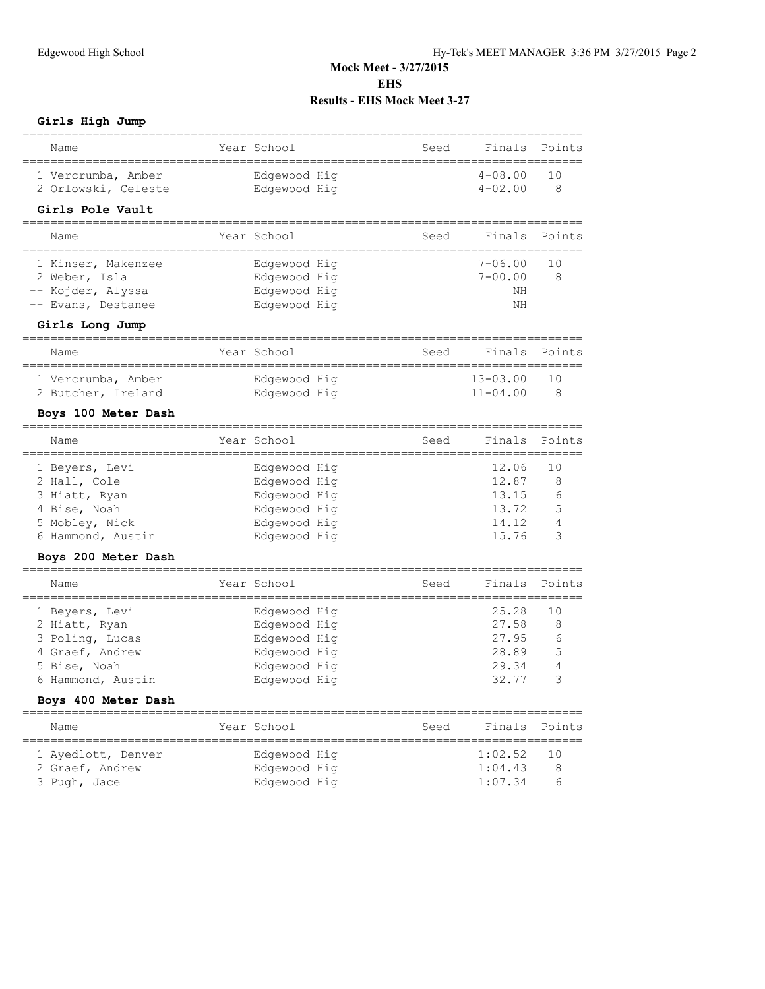#### **Girls High Jump**

| Name                                                        | Year School                  |                       | Seed | Finals         | Points           |
|-------------------------------------------------------------|------------------------------|-----------------------|------|----------------|------------------|
| 1 Vercrumba, Amber                                          | Edgewood Hig                 |                       |      | $4 - 08.00$    | 10               |
| 2 Orlowski, Celeste                                         | Edgewood Hig                 |                       |      | $4 - 02.00$    | 8                |
| Girls Pole Vault                                            |                              |                       |      |                |                  |
| Name                                                        | Year School                  |                       | Seed | Finals         | Points           |
| 1 Kinser, Makenzee                                          | Edgewood Hig                 |                       |      | $7 - 06.00$    | 10               |
| 2 Weber, Isla                                               | Edgewood Hig                 |                       |      | $7 - 00.00$    | 8                |
| -- Kojder, Alyssa                                           | Edgewood Hig                 |                       |      | NΗ<br>NΗ       |                  |
| -- Evans, Destanee                                          | Edgewood Hig                 |                       |      |                |                  |
| Girls Long Jump                                             |                              |                       |      |                |                  |
| Name                                                        | Year School                  |                       | Seed | Finals         | Points           |
| 1 Vercrumba, Amber                                          | Edgewood Hig                 |                       |      | $13 - 03.00$   | 10               |
| 2 Butcher, Ireland                                          | Edgewood Hig                 |                       |      | $11 - 04.00$   | 8                |
| Boys 100 Meter Dash                                         |                              |                       |      |                |                  |
| Name                                                        | Year School                  |                       | Seed | Finals         | Points           |
| 1 Beyers, Levi                                              | Edgewood Hig                 |                       |      | 12.06          | 10               |
| 2 Hall, Cole                                                | Edgewood Hig                 |                       |      | 12.87          | 8                |
| 3 Hiatt, Ryan                                               | Edgewood Hig                 |                       |      | 13.15          | 6                |
| 4 Bise, Noah                                                | Edgewood Hig                 |                       |      | 13.72<br>14.12 | 5<br>4           |
| 5 Mobley, Nick<br>6 Hammond, Austin                         | Edgewood Hig<br>Edgewood Hig |                       |      | 15.76          | 3                |
| Boys 200 Meter Dash                                         |                              |                       |      |                |                  |
| Name                                                        | Year School                  |                       | Seed | Finals         | Points           |
|                                                             |                              |                       |      |                |                  |
| 1 Beyers, Levi                                              | Edgewood Hig                 |                       |      | 25.28          | 10               |
| 2 Hiatt, Ryan<br>3 Poling, Lucas                            | Edgewood Hig<br>Edgewood Hig |                       |      | 27.58<br>27.95 | 8<br>6           |
| 4 Graef, Andrew                                             | Edgewood Hig                 |                       |      | 28.89          | 5                |
| 5 Bise, Noah                                                | Edgewood Hig                 |                       |      | 29.34          | 4                |
| 6 Hammond, Austin                                           | Edgewood Hig                 |                       |      | 32.77          | 3                |
| Boys 400 Meter Dash                                         |                              |                       |      |                |                  |
| ========<br>Name                                            | Year School                  | ===================== | Seed | Finals         | Points           |
| =====================================<br>1 Ayedlott, Denver | Edgewood Hig                 |                       |      | 1:02.52        | ==========<br>10 |
| 2 Graef, Andrew                                             | Edgewood Hig                 |                       |      | 1:04.43        | 8                |
| 3 Pugh, Jace                                                | Edgewood Hig                 |                       |      | 1:07.34        | 6                |
|                                                             |                              |                       |      |                |                  |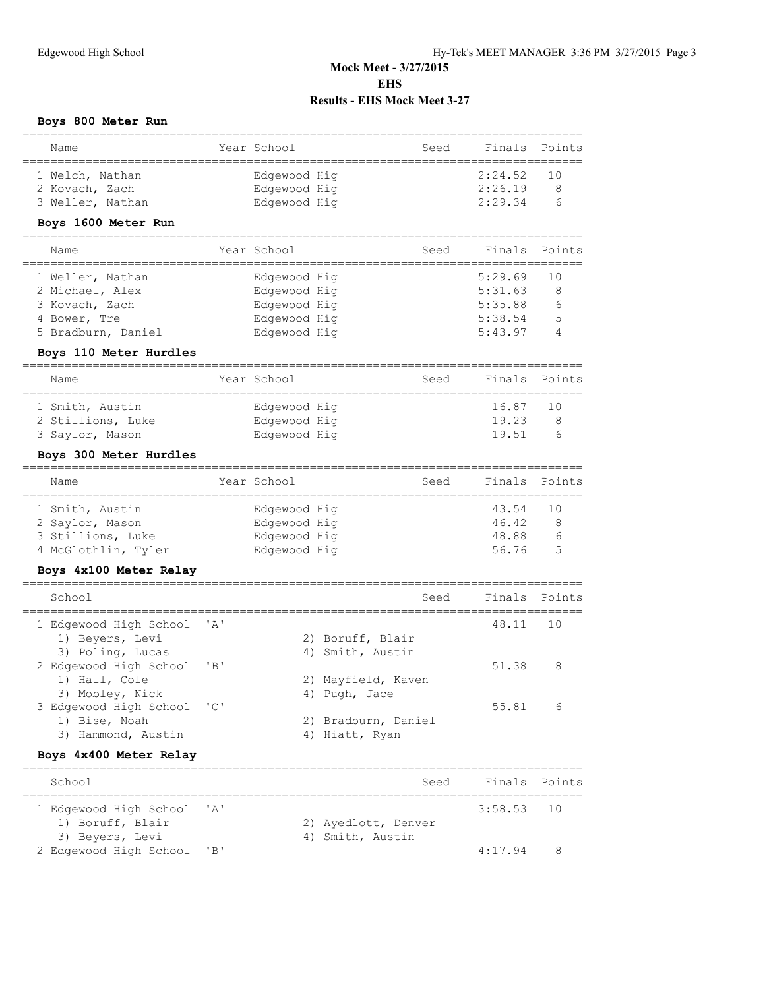# **Boys 800 Meter Run**

| Name                                    |             | Year School  | Seed                | Finals                          | Points |
|-----------------------------------------|-------------|--------------|---------------------|---------------------------------|--------|
| 1 Welch, Nathan                         |             | Edgewood Hig |                     | 2:24.52                         | 10     |
| 2 Kovach, Zach                          |             | Edgewood Hig |                     | 2:26.19                         | 8      |
| 3 Weller, Nathan                        |             |              |                     | 2:29.34                         | 6      |
|                                         |             | Edgewood Hig |                     |                                 |        |
| Boys 1600 Meter Run                     |             |              |                     |                                 |        |
| Name<br>_______________                 | ----------- | Year School  | Seed                | Finals<br>_______________       | Points |
| 1 Weller, Nathan                        |             | Edgewood Hig |                     | 5:29.69                         | 10     |
| 2 Michael, Alex                         |             | Edgewood Hig |                     | 5:31.63                         | 8      |
| 3 Kovach, Zach                          |             | Edgewood Hig |                     | 5:35.88                         | 6      |
| 4 Bower, Tre                            |             | Edgewood Hig |                     | 5:38.54                         | 5      |
| 5 Bradburn, Daniel                      |             | Edgewood Hig |                     | 5:43.97                         | 4      |
|                                         |             |              |                     |                                 |        |
| Boys 110 Meter Hurdles                  |             |              |                     |                                 |        |
| Name                                    |             | Year School  | Seed                | Finals                          | Points |
| 1 Smith, Austin                         |             | Edgewood Hig |                     | 16.87                           | 10     |
| 2 Stillions, Luke                       |             | Edgewood Hig |                     | 19.23                           | 8      |
| 3 Saylor, Mason                         |             | Edgewood Hig |                     | 19.51                           | 6      |
| Boys 300 Meter Hurdles                  |             |              |                     |                                 |        |
| Name                                    |             | Year School  | Seed                | Finals                          | Points |
|                                         |             |              |                     |                                 |        |
| 1 Smith, Austin                         |             | Edgewood Hig |                     | 43.54                           | 10     |
| 2 Saylor, Mason                         |             | Edgewood Hig |                     | 46.42                           | 8      |
| 3 Stillions, Luke                       |             | Edgewood Hig |                     | 48.88                           | 6      |
| 4 McGlothlin, Tyler                     |             | Edgewood Hig |                     | 56.76                           | 5      |
| Boys 4x100 Meter Relay                  |             |              |                     |                                 |        |
| School                                  |             |              | Seed                | Finals                          | Points |
|                                         |             |              |                     |                                 |        |
| 1 Edgewood High School                  | ' A '       |              |                     | 48.11                           | 10     |
| 1) Beyers, Levi                         |             |              | 2) Boruff, Blair    |                                 |        |
| 3) Poling, Lucas                        |             | 4)           | Smith, Austin       |                                 |        |
| 2 Edgewood High School                  | 'B'         |              |                     | 51.38                           | 8      |
| 1) Hall, Cole                           |             |              | 2) Mayfield, Kaven  |                                 |        |
| 3) Mobley, Nick                         |             | 4)           | Pugh, Jace          |                                 |        |
| 3 Edgewood High School                  | "C"         |              |                     | 55.81                           | 6      |
| 1) Bise, Noah                           |             |              | 2) Bradburn, Daniel |                                 |        |
| 3) Hammond, Austin                      |             |              | 4) Hiatt, Ryan      |                                 |        |
| Boys 4x400 Meter Relay                  |             |              |                     |                                 |        |
| =============================<br>School |             |              | Seed                | Finals                          | Points |
|                                         |             |              |                     | =============================== |        |
| 1 Edgewood High School                  | ' A '       |              |                     | 3:58.53                         | 10     |
| 1) Boruff, Blair                        |             |              | 2) Ayedlott, Denver |                                 |        |
| 3) Beyers, Levi                         |             |              | 4) Smith, Austin    |                                 |        |
| 2 Edgewood High School                  | "B"         |              |                     | 4:17.94                         | 8      |
|                                         |             |              |                     |                                 |        |